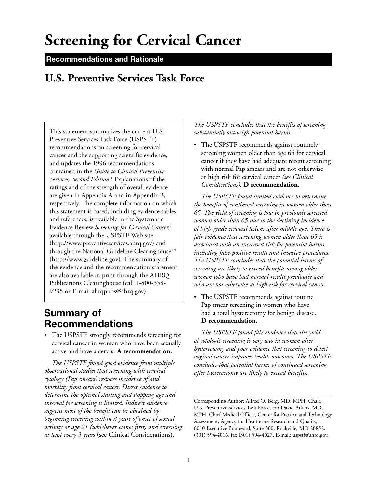# **Screening for Cervical Cancer**

### **Recommendations and Rationale**

# **U.S. Preventive Services Task Force**

This statement summarizes the current U.S. Preventive Services Task Force (USPSTF) recommendations on screening for cervical cancer and the supporting scientific evidence, and updates the 1996 recommendations contained in the *Guide to Clinical Preventive Services, Second Edition.*<sup>1</sup> Explanations of the ratings and of the strength of overall evidence are given in Appendix A and in Appendix B, respectively. The complete information on which this statement is based, including evidence tables and references, is available in the Systematic Evidence Review *Screening for Cervical Cancer,*<sup>2</sup> available through the USPSTF Web site (http://www.preventiveservices.ahrq.gov) and through the National Guideline Clearinghouse<sup>TM</sup> (http://www.guideline.gov). The summary of the evidence and the recommendation statement are also available in print through the AHRQ Publications Clearinghouse (call 1-800-358- 9295 or E-mail ahrqpubs@ahrq.gov).

# **Summary of Recommendations**

• The USPSTF strongly recommends screening for cervical cancer in women who have been sexually active and have a cervix. **A recommendation.** 

*The USPSTF found good evidence from multiple observational studies that screening with cervical cytology (Pap smears) reduces incidence of and mortality from cervical cancer. Direct evidence to determine the optimal starting and stopping age and interval for screening is limited. Indirect evidence suggests most of the benefit can be obtained by beginning screening within 3 years of onset of sexual activity or age 21 (whichever comes first) and screening at least every 3 years* (see Clinical Considerations).

#### *The USPSTF concludes that the benefits of screening substantially outweigh potential harms.*

• The USPSTF recommends against routinely screening women older than age 65 for cervical cancer if they have had adequate recent screening with normal Pap smears and are not otherwise at high risk for cervical cancer *(see Clinical Considerations)*. **D recommendation.** 

*The USPSTF found limited evidence to determine the benefits of continued screening in women older than 65. The yield of screening is low in previously screened women older than 65 due to the declining incidence of high-grade cervical lesions after middle age. There is fair evidence that screening women older than 65 is associated with an increased risk for potential harms, including false-positive results and invasive procedures. The USPSTF concludes that the potential harms of screening are likely to exceed benefits among older women who have had normal results previously and who are not otherwise at high risk for cervical cancer.* 

• The USPSTF recommends against routine Pap smear screening in women who have had a total hysterectomy for benign disease. **D recommendation.** 

*The USPSTF found fair evidence that the yield of cytologic screening is very low in women after hysterectomy and poor evidence that screening to detect vaginal cancer improves health outcomes. The USPSTF concludes that potential harms of continued screening after hysterectomy are likely to exceed benefits.*

Corresponding Author: Alfred O. Berg, MD, MPH, Chair, U.S. Preventive Services Task Force, c/o David Atkins, MD, MPH, Chief Medical Officer, Center for Practice and Technology Assessment, Agency for Healthcare Research and Quality, 6010 Executive Boulevard, Suite 300, Rockville, MD 20852. (301) 594-4016, fax (301) 594-4027, E-mail: uspstf@ahrq.gov.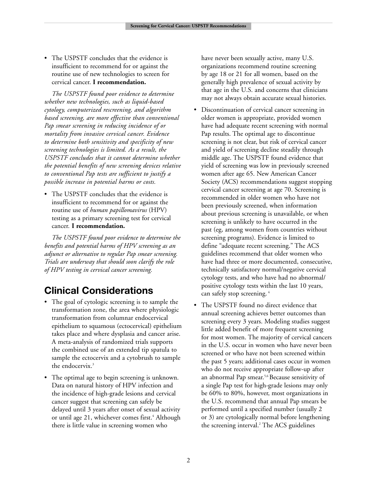• The USPSTF concludes that the evidence is insufficient to recommend for or against the routine use of new technologies to screen for cervical cancer. **I recommendation.** 

*The USPSTF found poor evidence to determine whether new technologies, such as liquid-based cytology, computerized rescreening, and algorithm based screening, are more effective than conventional Pap smear screening in reducing incidence of or mortality from invasive cervical cancer. Evidence to determine both sensitivity and specificity of new screening technologies is limited. As a result, the USPSTF concludes that it cannot determine whether the potential benefits of new screening devices relative to conventional Pap tests are sufficient to justify a possible increase in potential harms or costs.* 

• The USPSTF concludes that the evidence is insufficient to recommend for or against the routine use of *human papillomavirus* (HPV) testing as a primary screening test for cervical cancer. **I recommendation.** 

*The USPSTF found poor evidence to determine the benefits and potential harms of HPV screening as an adjunct or alternative to regular Pap smear screening. Trials are underway that should soon clarify the role of HPV testing in cervical cancer screening.* 

# **Clinical Considerations**

- The goal of cytologic screening is to sample the transformation zone, the area where physiologic transformation from columnar endocervical epithelium to squamous (ectocervical) epithelium takes place and where dysplasia and cancer arise. A meta-analysis of randomized trials supports the combined use of an extended tip spatula to sample the ectocervix and a cytobrush to sample the endocervix.<sup>3</sup>
- The optimal age to begin screening is unknown. Data on natural history of HPV infection and the incidence of high-grade lesions and cervical cancer suggest that screening can safely be delayed until 3 years after onset of sexual activity or until age 21, whichever comes first.<sup>4</sup> Although there is little value in screening women who

have never been sexually active, many U.S. organizations recommend routine screening by age 18 or 21 for all women, based on the generally high prevalence of sexual activity by that age in the U.S. and concerns that clinicians may not always obtain accurate sexual histories.

- Discontinuation of cervical cancer screening in older women is appropriate, provided women have had adequate recent screening with normal Pap results. The optimal age to discontinue screening is not clear, but risk of cervical cancer and yield of screening decline steadily through middle age. The USPSTF found evidence that yield of screening was low in previously screened women after age 65. New American Cancer Society (ACS) recommendations suggest stopping cervical cancer screening at age 70. Screening is recommended in older women who have not been previously screened, when information about previous screening is unavailable, or when screening is unlikely to have occurred in the past (eg, among women from countries without screening programs). Evidence is limited to define "adequate recent screening." The ACS guidelines recommend that older women who have had three or more documented, consecutive, technically satisfactory normal/negative cervical cytology tests, and who have had no abnormal/ positive cytology tests within the last 10 years, can safely stop screening. <sup>4</sup>
- The USPSTF found no direct evidence that annual screening achieves better outcomes than screening every 3 years. Modeling studies suggest little added benefit of more frequent screening for most women. The majority of cervical cancers in the U.S. occur in women who have never been screened or who have not been screened within the past 5 years; additional cases occur in women who do not receive appropriate follow-up after an abnormal Pap smear.<sup>5,6</sup> Because sensitivity of a single Pap test for high-grade lesions may only be 60% to 80%, however, most organizations in the U.S. recommend that annual Pap smears be performed until a specified number (usually 2 or 3) are cytologically normal before lengthening the screening interval.2 The ACS guidelines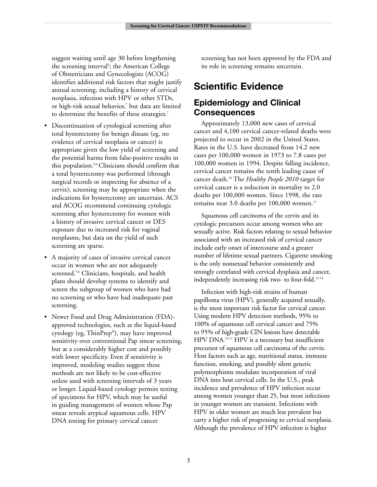suggest waiting until age 30 before lengthening the screening interval<sup>4</sup>; the American College of Obstetricians and Gynecologists (ACOG) identifies additional risk factors that might justify annual screening, including a history of cervical neoplasia, infection with HPV or other STDs, or high-risk sexual behavior,<sup>7</sup> but data are limited to determine the benefits of these strategies.<sup>7</sup>

- Discontinuation of cytological screening after total hysterectomy for benign disease (eg, no evidence of cervical neoplasia or cancer) is appropriate given the low yield of screening and the potential harms from false-positive results in this population.8,9 Clinicians should confirm that a total hysterectomy was performed (through surgical records or inspecting for absence of a cervix); screening may be appropriate when the indications for hysterectomy are uncertain. ACS and ACOG recommend continuing cytologic screening after hysterectomy for women with a history of invasive cervical cancer or DES exposure due to increased risk for vaginal neoplasms, but data on the yield of such screening are sparse.
- A majority of cases of invasive cervical cancer occur in women who are not adequately screened.<sup>5,6</sup> Clinicians, hospitals, and health plans should develop systems to identify and screen the subgroup of women who have had no screening or who have had inadequate past screening.
- Newer Food and Drug Administration (FDA) approved technologies, such as the liquid-based cytology (eg, ThinPrep®), may have improved sensitivity over conventional Pap smear screening, but at a considerably higher cost and possibly with lower specificity. Even if sensitivity is improved, modeling studies suggest these methods are not likely to be cost-effective unless used with screening intervals of 3 years or longer. Liquid-based cytology permits testing of specimens for HPV, which may be useful in guiding management of women whose Pap smear reveals atypical squamous cells. HPV DNA testing for primary cervical cancer

screening has not been approved by the FDA and its role in screening remains uncertain.

# **Scientific Evidence**

### **Epidemiology and Clinical Consequences**

Approximately 13,000 new cases of cervical cancer and 4,100 cervical cancer-related deaths were projected to occur in 2002 in the United States. Rates in the U.S. have decreased from 14.2 new cases per 100,000 women in 1973 to 7.8 cases per 100,000 women in 1994. Despite falling incidence, cervical cancer remains the tenth leading cause of cancer death.10 The *Healthy People 2010* target for cervical cancer is a reduction in mortality to 2.0 deaths per 100,000 women. Since 1998, the rate remains near 3.0 deaths per 100,000 women.<sup>11</sup>

Squamous cell carcinoma of the cervix and its cytologic precursors occur among women who are sexually active. Risk factors relating to sexual behavior associated with an increased risk of cervical cancer include early onset of intercourse and a greater number of lifetime sexual partners. Cigarette smoking is the only nonsexual behavior consistently and strongly correlated with cervical dysplasia and cancer, independently increasing risk two- to four-fold.<sup>12-14</sup>

Infection with high-risk strains of human papilloma virus (HPV), generally acquired sexually, is the most important risk factor for cervical cancer. Using modern HPV detection methods, 95% to 100% of squamous cell cervical cancer and 75% to 95% of high-grade CIN lesions have detectable HPV DNA.15-17 HPV is a necessary but insufficient precursor of squamous cell carcinoma of the cervix. Host factors such as age, nutritional status, immune function, smoking, and possibly silent genetic polymorphisms modulate incorporation of viral DNA into host cervical cells. In the U.S., peak incidence and prevalence of HPV infection occur among women younger than 25, but most infections in younger women are transient. Infections with HPV in older women are much less prevalent but carry a higher risk of progressing to cervical neoplasia. Although the prevalence of HPV infection is higher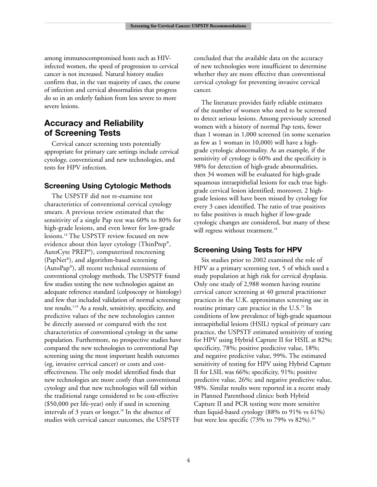among immunocompromised hosts such as HIVinfected women, the speed of progression to cervical cancer is not increased. Natural history studies confirm that, in the vast majority of cases, the course of infection and cervical abnormalities that progress do so in an orderly fashion from less severe to more severe lesions.

### **Accuracy and Reliability of Screening Tests**

Cervical cancer screening tests potentially appropriate for primary care settings include cervical cytology, conventional and new technologies, and tests for HPV infection.

#### **Screening Using Cytologic Methods**

The USPSTF did not re-examine test characteristics of conventional cervical cytology smears. A previous review estimated that the sensitivity of a single Pap test was 60% to 80% for high-grade lesions, and even lower for low-grade lesions.18 The USPSTF review focused on new evidence about thin layer cytology (ThinPrep®, AutoCyte PREP®), computerized rescreening (PapNet®), and algorithm-based screening (AutoPap®), all recent technical extensions of conventional cytology methods. The USPSTF found few studies testing the new technologies against an adequate reference standard (colposcopy or histology) and few that included validation of normal screening test results.<sup>2,18</sup> As a result, sensitivity, specificity, and predictive values of the new technologies cannot be directly assessed or compared with the test characteristics of conventional cytology in the same population. Furthermore, no prospective studies have compared the new technologies to conventional Pap screening using the most important health outcomes (eg, invasive cervical cancer) or costs and costeffectiveness. The only model identified finds that new technologies are more costly than conventional cytology and that new technologies will fall within the traditional range considered to be cost-effective (\$50,000 per life-year) only if used in screening intervals of 3 years or longer.<sup>18</sup> In the absence of studies with cervical cancer outcomes, the USPSTF

concluded that the available data on the accuracy of new technologies were insufficient to determine whether they are more effective than conventional cervical cytology for preventing invasive cervical cancer.

The literature provides fairly reliable estimates of the number of women who need to be screened to detect serious lesions. Among previously screened women with a history of normal Pap tests, fewer than 1 woman in 1,000 screened (in some scenarios as few as 1 woman in 10,000) will have a highgrade cytologic abnormality. As an example, if the sensitivity of cytology is 60% and the specificity is 98% for detection of high-grade abnormalities, then 34 women will be evaluated for high-grade squamous intraepithelial lesions for each true highgrade cervical lesion identified; moreover, 2 highgrade lesions will have been missed by cytology for every 3 cases identified. The ratio of true positives to false positives is much higher if low-grade cytologic changes are considered, but many of these will regress without treatment.<sup>18</sup>

#### **Screening Using Tests for HPV**

Six studies prior to 2002 examined the role of HPV as a primary screening test, 5 of which used a study population at high risk for cervical dysplasia. Only one study of 2,988 women having routine cervical cancer screening at 40 general practitioner practices in the U.K. approximates screening use in routine primary care practice in the U.S.<sup>19</sup> In conditions of low prevalence of high-grade squamous intraepithelial lesions (HSIL) typical of primary care practice, the USPSTF estimated sensitivity of testing for HPV using Hybrid Capture II for HSIL at 82%; specificity, 78%; positive predictive value, 18%; and negative predictive value, 99%. The estimated sensitivity of testing for HPV using Hybrid Capture II for LSIL was 66%; specificity, 91%; positive predictive value, 26%; and negative predictive value, 98%. Similar results were reported in a recent study in Planned Parenthood clinics: both Hybrid Capture II and PCR testing were more sensitive than liquid-based cytology (88% to 91% vs 61%) but were less specific  $(73\% \text{ to } 79\% \text{ vs } 82\%).$ <sup>20</sup>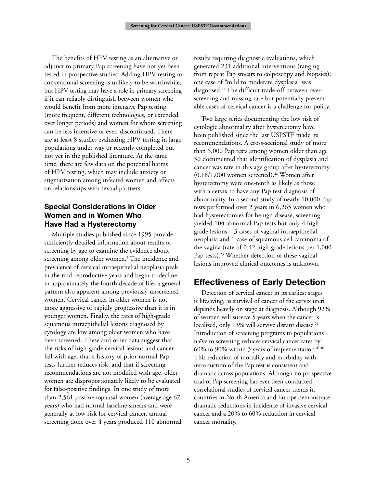The benefits of HPV testing as an alternative or adjunct to primary Pap screening have not yet been tested in prospective studies. Adding HPV testing to conventional screening is unlikely to be worthwhile, but HPV testing may have a role in primary screening if it can reliably distinguish between women who would benefit from more intensive Pap testing (more frequent, different technologies, or extended over longer periods) and women for whom screening can be less intensive or even discontinued. There are at least 8 studies evaluating HPV testing in large populations under way or recently completed but not yet in the published literature. At the same time, there are few data on the potential harms of HPV testing, which may include anxiety or stigmatization among infected women and affects on relationships with sexual partners.

### **Special Considerations in Older Women and in Women Who Have Had a Hysterectomy**

Multiple studies published since 1995 provide sufficiently detailed information about results of screening by age to examine the evidence about screening among older women.<sup>2</sup> The incidence and prevalence of cervical intraepithelial neoplasia peak in the mid-reproductive years and begin to decline in approximately the fourth decade of life, a general pattern also apparent among previously unscreened women. Cervical cancer in older women is not more aggressive or rapidly progressive than it is in younger women. Finally, the rates of high-grade squamous intraepithelial lesions diagnosed by cytology are low among older women who have been screened. These and other data suggest that the risks of high-grade cervical lesions and cancer fall with age; that a history of prior normal Pap tests further reduces risk; and that if screening recommendations are not modified with age, older women are disproportionately likely to be evaluated for false-positive findings. In one study of more than 2,561 postmenopausal women (average age 67 years) who had normal baseline smears and were generally at low risk for cervical cancer, annual screening done over 4 years produced 110 abnormal results requiring diagnostic evaluations, which generated 231 additional interventions (ranging from repeat Pap smears to colposcopy and biopsies); one case of "mild to moderate dysplasia" was diagnosed.<sup>21</sup> The difficult trade-off between overscreening and missing rare but potentially preventable cases of cervical cancer is a challenge for policy.

Two large series documenting the low risk of cytologic abnormality after hysterectomy have been published since the last USPSTF made its recommendations. A cross-sectional study of more than 5,000 Pap tests among women older than age 50 documented that identification of dysplasia and cancer was rare in this age group after hysterectomy  $(0.18/1,000$  women screened).<sup>22</sup> Women after hysterectomy were one-tenth as likely as those with a cervix to have any Pap test diagnosis of abnormality. In a second study of nearly 10,000 Pap tests performed over 2 years in 6,265 women who had hysterectomies for benign disease, screening yielded 104 abnormal Pap tests but only 4 highgrade lesions—3 cases of vaginal intraepithelial neoplasia and 1 case of squamous cell carcinoma of the vagina (rate of 0.42 high-grade lesions per 1,000 Pap tests).<sup>23</sup> Whether detection of these vaginal lesions improved clinical outcomes is unknown.

### **Effectiveness of Early Detection**

Detection of cervical cancer in its earliest stages is lifesaving, as survival of cancer of the cervix uteri depends heavily on stage at diagnosis. Although 92% of women will survive 5 years when the cancer is localized, only 13% will survive distant disease.<sup>24</sup> Introduction of screening programs to populations naïve to screening reduces cervical cancer rates by 60% to 90% within 3 years of implementation.<sup>25,26</sup> This reduction of mortality and morbidity with introduction of the Pap test is consistent and dramatic across populations. Although no prospective trial of Pap screening has ever been conducted, correlational studies of cervical cancer trends in countries in North America and Europe demonstrate dramatic reductions in incidence of invasive cervical cancer and a 20% to 60% reduction in cervical cancer mortality.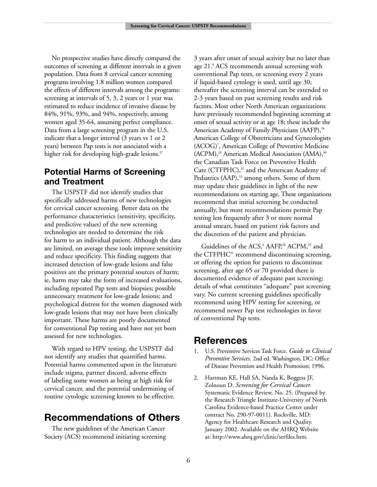No prospective studies have directly compared the outcomes of screening at different intervals in a given population. Data from 8 cervical cancer screening programs involving 1.8 million women compared the effects of different intervals among the programs: screening at intervals of 5, 3, 2 years or 1 year was estimated to reduce incidence of invasive disease by 84%, 91%, 93%, and 94%, respectively, among women aged 35-64, assuming perfect compliance. Data from a large screening program in the U.S. indicate that a longer interval (3 years vs 1 or 2 years) between Pap tests is not associated with a higher risk for developing high-grade lesions.<sup>27</sup>

### **Potential Harms of Screening and Treatment**

The USPSTF did not identify studies that specifically addressed harms of new technologies for cervical cancer screening. Better data on the performance characteristics (sensitivity, specificity, and predictive values) of the new screening technologies are needed to determine the risk for harm to an individual patient. Although the data are limited, on average these tools improve sensitivity and reduce specificity. This finding suggests that increased detection of low-grade lesions and false positives are the primary potential sources of harm; ie, harm may take the form of increased evaluations, including repeated Pap tests and biopsies; possible unnecessary treatment for low-grade lesions; and psychological distress for the women diagnosed with low-grade lesions that may not have been clinically important. These harms are poorly documented for conventional Pap testing and have not yet been assessed for new technologies.

With regard to HPV testing, the USPSTF did not identify any studies that quantified harms. Potential harms commented upon in the literature include stigma, partner discord, adverse effects of labeling some women as being at high risk for cervical cancer, and the potential undermining of routine cytologic screening known to be effective.

## **Recommendations of Others**

The new guidelines of the American Cancer Society (ACS) recommend initiating screening 3 years after onset of sexual activity but no later than age 21.4 ACS recommends annual screening with conventional Pap tests, or screening every 2 years if liquid-based cytology is used, until age 30; thereafter the screening interval can be extended to 2-3 years based on past screening results and risk factors. Most other North American organizations have previously recommended beginning screening at onset of sexual activity or at age 18; these include the American Academy of Family Physicians (AAFP),<sup>28</sup> American College of Obstetricians and Gynecologists (ACOG)7 , American College of Preventive Medicine  $(ACPM)$ ,<sup>29</sup> American Medical Association  $(AMA)$ ,<sup>30</sup> the Canadian Task Force on Preventive Health Care (CTFPHC),<sup>31</sup> and the American Academy of Pediatrics (AAP),<sup>32</sup> among others. Some of them may update their guidelines in light of the new recommendations on starting age. These organizations recommend that initial screening be conducted annually, but most recommendations permit Pap testing less frequently after 3 or more normal annual smears, based on patient risk factors and the discretion of the patient and physician.

Guidelines of the ACS,<sup>4</sup> AAFP,<sup>28</sup> ACPM,<sup>29</sup> and the CTFPHC<sup>31</sup> recommend discontinuing screening, or offering the option for patients to discontinue screening, after age 65 or 70 provided there is documented evidence of adequate past screening; details of what constitutes "adequate" past screening vary. No current screening guidelines specifically recommend using HPV testing for screening, or recommend newer Pap test technologies in favor of conventional Pap tests.

# **References**

- 1. U.S. Preventive Services Task Force. *Guide to Clinical Preventive Services.* 2nd ed. Washington, DC: Office of Disease Prevention and Health Promotion; 1996.
- 2. Hartman KE, Hall SA, Nanda K, Boggess JF, Zolnoun D. *Screening for Cervical Cancer.* Systematic Evidence Review. No. 25. (Prepared by the Research Triangle Institute-University of North Carolina Evidence-based Practice Center under contract No. 290-97-0011). Rockville, MD: Agency for Healthcare Research and Quality. January 2002. Available on the AHRQ Website at: http://www.ahrq.gov/clinic/serfiles.htm.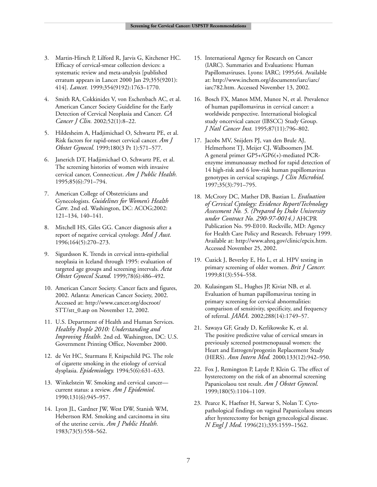- 3. Martin-Hirsch P, Lilford R, Jarvis G, Kitchener HC. Efficacy of cervical-smear collection devices: a systematic review and meta-analysis [published erratum appears in Lancet 2000 Jan 29;355(9201): 414]. *Lancet.* 1999;354(9192):1763–1770.
- 4. Smith RA, Cokkinides V, von Eschenbach AC, et al. American Cancer Society Guideline for the Early Detection of Cervical Neoplasia and Cancer. *CA Cancer J Clin.* 2002;52(1):8–22.
- 5. Hildesheim A, Hadjimichael O, Schwartz PE, et al. Risk factors for rapid-onset cervical cancer. *Am J Obstet Gynecol*. 1999;180(3 Pt 1):571–577.
- 6. Janerich DT, Hadjimichael O, Schwartz PE, et al. The screening histories of women with invasive cervical cancer, Connecticut. *Am J Public Health.* 1995;85(6):791–794.
- 7. American College of Obstetricians and Gynecologists. *Guidelines for Women's Health Care*. 2nd ed. Washington, DC: ACOG;2002: 121–134, 140–141.
- 8. Mitchell HS, Giles GG. Cancer diagnosis after a report of negative cervical cytology. *Med J Aust.* 1996;164(5):270–273.
- 9. Sigurdsson K. Trends in cervical intra-epithelial neoplasia in Iceland through 1995: evaluation of targeted age groups and screening intervals. *Acta Obstet Gynecol Scand.* 1999;78(6):486–492.
- 10. American Cancer Society. Cancer facts and figures, 2002. Atlanta: American Cancer Society, 2002. Accessed at: http://www.cancer.org/docroot/ STT/stt\_0.asp on November 12, 2002.
- 11. U.S. Department of Health and Human Services. *Healthy People 2010: Understanding and Improving Health*. 2nd ed. Washington, DC: U.S. Government Printing Office, November 2000.
- 12. de Vet HC, Sturmans F, Knipschild PG. The role of cigarette smoking in the etiology of cervical dysplasia. *Epidemiology.* 1994;5(6):631–633.
- 13. Winkelstein W. Smoking and cervical cancer current status: a review. *Am J Epidemiol*. 1990;131(6):945–957.
- 14. Lyon JL, Gardner JW, West DW, Stanish WM, Hebertson RM. Smoking and carcinoma in situ of the uterine cervix. *Am J Public Health.* 1983;73(5):558–562.
- 15. International Agency for Research on Cancer (IARC). Summaries and Evaluations: Human Papillomaviruses. Lyons: IARC; 1995;64. Available at: http://www.inchem.org/documents/iarc/iarc/ iarc782.htm. Accessed November 13, 2002.
- 16. Bosch FX, Manos MM, Munoz N, et al. Prevalence of human papillomavirus in cervical cancer: a worldwide perspective. International biological study oncervical cancer (IBSCC) Study Group. *J Natl Cancer Inst.* 1995;87(11):796–802.
- 17. Jacobs MV, Snijders PJ, van den Brule AJ, Helmerhorst TJ, Meijer CJ, Walboomers JM. A general primer GP5+/GP6(+)-mediated PCRenzyme immunoassay method for rapid detection of 14 high-risk and 6 low-risk human papillomavirus genotypes in cervical scrapings. *J Clin Microbiol.* 1997;35(3):791–795.
- 18. McCrory DC, Mather DB, Bastian L. *Evaluation of Cervical Cytology: Evidence Report/Technology Assessment No. 5. (Prepared by Duke University under Contract No. 290-97-0014.)* AHCPR Publication No. 99-E010. Rockville, MD: Agency for Health Care Policy and Research. February 1999. Available at: http://www.ahrq.gov/clinic/epcix.htm. Accessed November 25, 2002.
- 19. Cuzick J, Beverley E, Ho L, et al. HPV testing in primary screening of older women. *Brit J Cancer.* 1999;81(3):554–558.
- 20. Kulasingam SL, Hughes JP, Kiviat NB, et al. Evaluation of human papillomavirus testing in primary screening for cervical abnormalities: comparison of sensitivity, specificity, and frequency of referral. *JAMA.* 2002;288(14):1749–57.
- 21. Sawaya GF, Grady D, Kerlikowske K, et al. The positive predictive value of cervical smears in previously screened postmenopausal women: the Heart and Estrogen/progestin Replacement Study (HERS). *Ann Intern Med.* 2000;133(12):942–950.
- 22. Fox J, Remington P, Layde P, Klein G. The effect of hysterectomy on the risk of an abnormal screening Papanicolaou test result. *Am J Obstet Gynecol.* 1999;180(5):1104–1109.
- 23. Pearce K, Haefner H, Sarwar S, Nolan T. Cytopathological findings on vaginal Papanicolaou smears after hysterectomy for benign gynecological disease. *N Engl J Med.* 1996(21);335:1559–1562.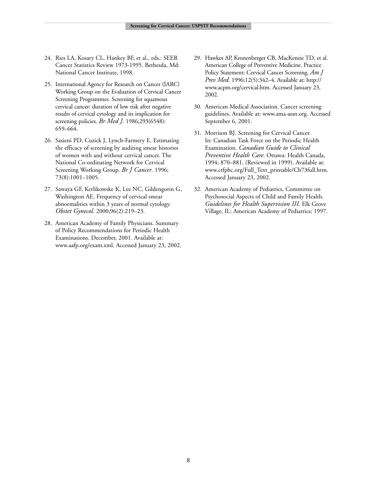- 24. Ries LA, Kosary CL, Hankey BF, et al., eds.: SEER Cancer Statistics Review 1973-1995. Bethesda, Md: National Cancer Institute, 1998.
- 25. International Agency for Research on Cancer (IARC) Working Group on the Evaluation of Cervical Cancer Screening Programmes. Screening for squamous cervical cancer: duration of low risk after negative results of cervical cytology and its implication for screening policies. *Br Med J.* 1986;293(6548): 659–664.
- 26. Sasieni PD, Cuzick J, Lynch-Farmery E. Estimating the efficacy of screening by auditing smear histories of women with and without cervical cancer. The National Co-ordinating Network for Cervical Screening Working Group. *Br J Cancer*. 1996; 73(8):1001–1005.
- 27. Sawaya GF, Kerlikowske K, Lee NC, Gildengorin G, Washington AE. Frequency of cervical smear abnormalities within 3 years of normal cytology. *Obstet Gynecol.* 2000;96(2):219–23.
- 28. American Academy of Family Physicians. Summary of Policy Recommendations for Periodic Health Examinations. December, 2001. Available at: www.aafp.org/exam.xml. Accessed January 23, 2002.
- 29. Hawkes AP, Kronenberger CB, MacKenzie TD, et al. American College of Preventive Medicine. Practice Policy Statement: Cervical Cancer Screening. *Am J Prev Med.* 1996;12(5):342–4. Available at: http:// www.acpm.org/cervical.htm. Accessed January 23, 2002.
- 30. American Medical Association. Cancer screening guidelines. Available at: www.ama-assn.org. Accessed September 6, 2001.
- 31. Morrison BJ. Screening for Cervical Cancer. In: Canadian Task Force on the Periodic Health Examination. *Canadian Guide to Clinical Preventive Health Care*. Ottawa: Health Canada, 1994; 870–881. (Reviewed in 1999). Available at: www.ctfphc.org/Full\_Text\_printable/Ch73full.htm. Accessed January 23, 2002.
- 32. American Academy of Pediatrics, Committee on Psychosocial Aspects of Child and Family Health. *Guidelines for Health Supervision III.* Elk Grove Village, IL: American Academy of Pediatrics; 1997.